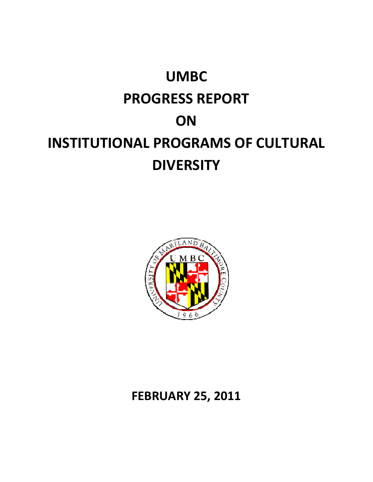# **UMBC PROGRESS REPORT ON INSTITUTIONAL PROGRAMS OF CULTURAL DIVERSITY**



## **FEBRUARY 25, 2011**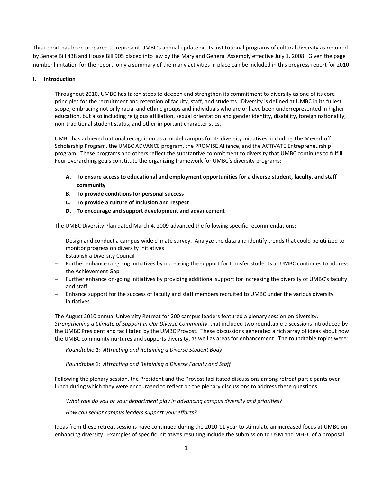This report has been prepared to represent UMBC's annual update on its institutional programs of cultural diversity as required by Senate Bill 438 and House Bill 905 placed into law by the Maryland General Assembly effective July 1, 2008. Given the page number limitation for the report, only a summary of the many activities in place can be included in this progress report for 2010.

#### **I. Introduction**

Throughout 2010, UMBC has taken steps to deepen and strengthen its commitment to diversity as one of its core principles for the recruitment and retention of faculty, staff, and students. Diversity is defined at UMBC in its fullest scope, embracing not only racial and ethnic groups and individuals who are or have been underrepresented in higher education, but also including religious affiliation, sexual orientation and gender identity, disability, foreign nationality, non‐traditional student status, and other important characteristics.

UMBC has achieved national recognition as a model campus for its diversity initiatives, including The Meyerhoff Scholarship Program, the UMBC ADVANCE program, the PROMISE Alliance, and the ACTiVATE Entrepreneurship program. These programs and others reflect the substantive commitment to diversity that UMBC continues to fulfill. Four overarching goals constitute the organizing framework for UMBC's diversity programs:

- **A. To ensure access to educational and employment opportunities for a diverse student, faculty, and staff community**
- **B. To provide conditions for personal success**
- **C. To provide a culture of inclusion and respect**
- **D. To encourage and support development and advancement**

The UMBC Diversity Plan dated March 4, 2009 advanced the following specific recommendations:

- Design and conduct a campus‐wide climate survey. Analyze the data and identify trends that could be utilized to monitor progress on diversity initiatives
- Establish a Diversity Council
- Further enhance on-going initiatives by increasing the support for transfer students as UMBC continues to address the Achievement Gap
- Further enhance on-going initiatives by providing additional support for increasing the diversity of UMBC's faculty and staff
- Enhance support for the success of faculty and staff members recruited to UMBC under the various diversity initiatives

The August 2010 annual University Retreat for 200 campus leaders featured a plenary session on diversity, *Strengthening a Climate of Support in Our Diverse Community*, that included two roundtable discussions introduced by the UMBC President and facilitated by the UMBC Provost. These discussions generated a rich array of ideas about how the UMBC community nurtures and supports diversity, as well as areas for enhancement. The roundtable topics were:

*Roundtable 1: Attracting and Retaining a Diverse Student Body*

*Roundtable 2: Attracting and Retaining a Diverse Faculty and Staff*

Following the plenary session, the President and the Provost facilitated discussions among retreat participants over lunch during which they were encouraged to reflect on the plenary discussions to address these questions:

*What role do you or your department play in advancing campus diversity and priorities?*

*How can senior campus leaders support your efforts?*

Ideas from these retreat sessions have continued during the 2010‐11 year to stimulate an increased focus at UMBC on enhancing diversity. Examples of specific initiatives resulting include the submission to USM and MHEC of a proposal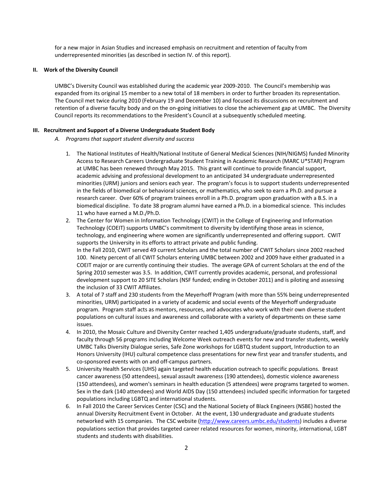for a new major in Asian Studies and increased emphasis on recruitment and retention of faculty from underrepresented minorities (as described in section IV. of this report).

#### **II. Work of the Diversity Council**

UMBC's Diversity Council was established during the academic year 2009‐2010. The Council's membership was expanded from its original 15 member to a new total of 18 members in order to further broaden its representation. The Council met twice during 2010 (February 19 and December 10) and focused its discussions on recruitment and retention of a diverse faculty body and on the on-going initiatives to close the achievement gap at UMBC. The Diversity Council reports its recommendations to the President's Council at a subsequently scheduled meeting.

#### **III. Recruitment and Support of a Diverse Undergraduate Student Body**

- *A. Programs that support student diversity and success*
	- 1. The National Institutes of Health/National Institute of General Medical Sciences (NIH/NIGMS) funded Minority Access to Research Careers Undergraduate Student Training in Academic Research (MARC U\*STAR) Program at UMBC has been renewed through May 2015. This grant will continue to provide financial support, academic advising and professional development to an anticipated 34 undergraduate underrepresented minorities (URM) juniors and seniors each year. The program's focus is to support students underrepresented in the fields of biomedical or behavioral sciences, or mathematics, who seek to earn a Ph.D. and pursue a research career. Over 60% of program trainees enroll in a Ph.D. program upon graduation with a B.S. in a biomedical discipline. To date 38 program alumni have earned a Ph.D. in a biomedical science. This includes 11 who have earned a M.D./Ph.D.
	- 2. The Center for Women in Information Technology (CWIT) in the College of Engineering and Information Technology (COEIT) supports UMBC's commitment to diversity by identifying those areas in science, technology, and engineering where women are significantly underrepresented and offering support. CWIT supports the University in its efforts to attract private and public funding. In the Fall 2010, CWIT served 49 current Scholars and the total number of CWIT Scholars since 2002 reached 100. Ninety percent of all CWIT Scholars entering UMBC between 2002 and 2009 have either graduated in a COEIT major or are currently continuing their studies. The average GPA of current Scholars at the end of the Spring 2010 semester was 3.5. In addition, CWIT currently provides academic, personal, and professional development support to 20 SITE Scholars (NSF funded; ending in October 2011) and is piloting and assessing the inclusion of 33 CWIT Affiliates.
	- 3. A total of 7 staff and 230 students from the Meyerhoff Program (with more than 55% being underrepresented minorities, URM) participated in a variety of academic and social events of the Meyerhoff undergraduate program. Program staff acts as mentors, resources, and advocates who work with their own diverse student populations on cultural issues and awareness and collaborate with a variety of departments on these same issues.
	- 4. In 2010, the Mosaic Culture and Diversity Center reached 1,405 undergraduate/graduate students, staff, and faculty through 56 programs including Welcome Week outreach events for new and transfer students, weekly UMBC Talks Diversity Dialogue series, Safe Zone workshops for LGBTQ student support, Introduction to an Honors University (IHU) cultural competence class presentations for new first year and transfer students, and co‐sponsored events with on and off‐campus partners.
	- 5. University Health Services (UHS) again targeted health education outreach to specific populations. Breast cancer awareness (50 attendees), sexual assault awareness (190 attendees), domestic violence awareness (150 attendees), and women's seminars in health education (5 attendees) were programs targeted to women. Sex in the dark (140 attendees) and World AIDS Day (150 attendees) included specific information for targeted populations including LGBTQ and international students.
	- 6. In Fall 2010 the Career Services Center (CSC) and the National Society of Black Engineers (NSBE) hosted the annual Diversity Recruitment Event in October. At the event, 130 undergraduate and graduate students networked with 15 companies. The CSC website (http://www.careers.umbc.edu/students) includes a diverse populations section that provides targeted career related resources for women, minority, international, LGBT students and students with disabilities.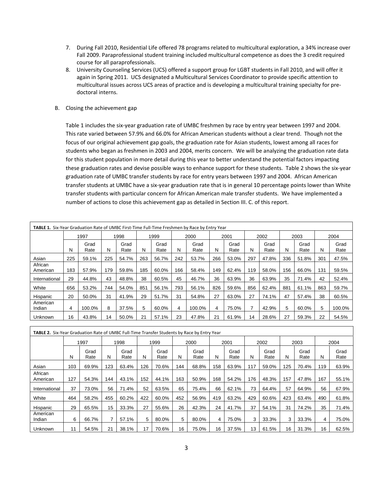- 7. During Fall 2010, Residential Life offered 78 programs related to multicultural exploration, a 34% increase over Fall 2009. Paraprofessional student training included multicultural competence as does the 3 credit required course for all paraprofessionals.
- 8. University Counseling Services (UCS) offered a support group for LGBT students in Fall 2010, and will offer it again in Spring 2011. UCS designated a Multicultural Services Coordinator to provide specific attention to multicultural issues across UCS areas of practice and is developing a multicultural training specialty for pre‐ doctoral interns.
- B. Closing the achievement gap

Table 1 includes the six-year graduation rate of UMBC freshmen by race by entry year between 1997 and 2004. This rate varied between 57.9% and 66.0% for African American students without a clear trend. Though not the focus of our original achievement gap goals, the graduation rate for Asian students, lowest among all races for students who began as freshmen in 2003 and 2004, merits concern. We will be analyzing the graduation rate data for this student population in more detail during this year to better understand the potential factors impacting these graduation rates and devise possible ways to enhance support for these students. Table 2 shows the six‐year graduation rate of UMBC transfer students by race for entry years between 1997 and 2004. African American transfer students at UMBC have a six‐year graduation rate that is in general 10 percentage points lower than White transfer students with particular concern for African American male transfer students. We have implemented a number of actions to close this achievement gap as detailed in Section III. C. of this report.

| <b>TABLE 1.</b> Six-Year Graduation Rate of UMBC First-Time Full-Time Freshmen by Race by Entry Year |      |              |      |              |      |              |      |              |      |              |      |              |      |              |      |              |
|------------------------------------------------------------------------------------------------------|------|--------------|------|--------------|------|--------------|------|--------------|------|--------------|------|--------------|------|--------------|------|--------------|
|                                                                                                      | 1997 |              | 1998 |              | 1999 |              | 2000 |              | 2001 |              | 2002 |              | 2003 |              | 2004 |              |
|                                                                                                      | N    | Grad<br>Rate | N    | Grad<br>Rate | N    | Grad<br>Rate | N    | Grad<br>Rate | N    | Grad<br>Rate | N    | Grad<br>Rate | N    | Grad<br>Rate | N    | Grad<br>Rate |
| Asian                                                                                                | 225  | 59.1%        | 225  | 54.7%        | 263  | 56.7%        | 242  | 53.7%        | 266  | 53.0%        | 297  | 47.8%        | 336  | 51.8%        | 301  | 47.5%        |
| African<br>American                                                                                  | 183  | 57.9%        | 179  | 59.8%        | 185  | 60.0%        | 166  | 58.4%        | 149  | 62.4%        | 119  | 58.0%        | 156  | 66.0%        | 131  | 59.5%        |
| International                                                                                        | 29   | 44.8%        | 43   | 48.8%        | 38   | 60.5%        | 45   | 46.7%        | 36   | 63.9%        | 36   | 63.9%        | 35   | 71.4%        | 42   | 52.4%        |
| White                                                                                                | 656  | 53.2%        | 744  | 54.0%        | 851  | 56.1%        | 793  | 56.1%        | 826  | 59.6%        | 856  | 62.4%        | 881  | 61.1%        | 863  | 59.7%        |
| Hispanic                                                                                             | 20   | 50.0%        | 31   | 41.9%        | 29   | 51.7%        | 31   | 54.8%        | 27   | 63.0%        | 27   | 74.1%        | 47   | 57.4%        | 38   | 60.5%        |
| American<br>Indian                                                                                   | 4    | 100.0%       | 8    | 37.5%        | 5    | 60.0%        | 4    | 100.0%       | 4    | 75.0%        |      | 42.9%        | 5    | 60.0%        | 5    | 100.0%       |
| <b>Unknown</b>                                                                                       | 16   | 43.8%        | 14   | 50.0%        | 21   | 57.1%        | 23   | 47.8%        | 21   | 61.9%        | 14   | 28.6%        | 27   | 59.3%        | 22   | 54.5%        |

| TABLE 2. Six-Year Graduation Rate of UMBC Full-Time Transfer Students by Race by Entry Year |      |              |      |              |      |              |      |              |      |              |      |              |      |              |      |              |
|---------------------------------------------------------------------------------------------|------|--------------|------|--------------|------|--------------|------|--------------|------|--------------|------|--------------|------|--------------|------|--------------|
|                                                                                             | 1997 |              | 1998 |              | 1999 |              | 2000 |              | 2001 |              | 2002 |              | 2003 |              | 2004 |              |
|                                                                                             | N    | Grad<br>Rate | N    | Grad<br>Rate | N    | Grad<br>Rate | N    | Grad<br>Rate | N    | Grad<br>Rate | N    | Grad<br>Rate | N    | Grad<br>Rate | N    | Grad<br>Rate |
| Asian                                                                                       | 103  | 69.9%        | 123  | 63.4%        | 126  | 70.6%        | 144  | 68.8%        | 158  | 63.9%        | 117  | 59.0%        | 125  | 70.4%        | 119  | 63.9%        |
| African<br>American                                                                         | 127  | 54.3%        | 144  | 43.1%        | 152  | 44.1%        | 163  | 50.9%        | 168  | 54.2%        | 176  | 48.3%        | 157  | 47.8%        | 167  | 55.1%        |
| International                                                                               | 37   | 73.0%        | 56   | 71.4%        | 52   | 63.5%        | 65   | 75.4%        | 66   | 62.1%        | 73   | 64.4%        | 57   | 64.9%        | 56   | 67.9%        |
| White                                                                                       | 464  | 58.2%        | 455  | 60.2%        | 422  | 60.0%        | 452  | 56.9%        | 419  | 63.2%        | 429  | 60.6%        | 423  | 63.4%        | 490  | 61.8%        |
| Hispanic                                                                                    | 29   | 65.5%        | 15   | 33.3%        | 27   | 55.6%        | 26   | 42.3%        | 24   | 41.7%        | 37   | 54.1%        | 31   | 74.2%        | 35   | 71.4%        |
| American<br>Indian                                                                          | 6    | 66.7%        |      | 57.1%        | 5    | 80.0%        | 5    | 80.0%        | 4    | 75.0%        | 3    | 33.3%        | 3    | 33.3%        | 4    | 75.0%        |
| <b>Unknown</b>                                                                              | 11   | 54.5%        | 21   | 38.1%        | 17   | 70.6%        | 16   | 75.0%        | 16   | 37.5%        | 13   | 61.5%        | 16   | 31.3%        | 16   | 62.5%        |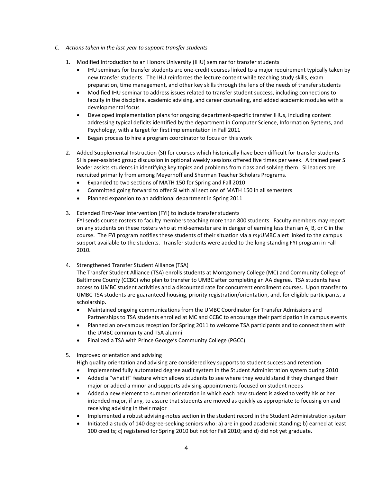- *C. Actions taken in the last year to support transfer students*
	- 1. Modified Introduction to an Honors University (IHU) seminar for transfer students
		- IHU seminars for transfer students are one-credit courses linked to a major requirement typically taken by new transfer students. The IHU reinforces the lecture content while teaching study skills, exam preparation, time management, and other key skills through the lens of the needs of transfer students
		- Modified IHU seminar to address issues related to transfer student success, including connections to faculty in the discipline, academic advising, and career counseling, and added academic modules with a developmental focus
		- Developed implementation plans for ongoing department‐specific transfer IHUs, including content addressing typical deficits identified by the department in Computer Science, Information Systems, and Psychology, with a target for first implementation in Fall 2011
		- Began process to hire a program coordinator to focus on this work
	- 2. Added Supplemental Instruction (SI) for courses which historically have been difficult for transfer students SI is peer‐assisted group discussion in optional weekly sessions offered five times per week. A trained peer SI leader assists students in identifying key topics and problems from class and solving them. SI leaders are recruited primarily from among Meyerhoff and Sherman Teacher Scholars Programs.
		- Expanded to two sections of MATH 150 for Spring and Fall 2010
		- Committed going forward to offer SI with all sections of MATH 150 in all semesters
		- Planned expansion to an additional department in Spring 2011
	- 3. Extended First‐Year Intervention (FYI) to include transfer students FYI sends course rosters to faculty members teaching more than 800 students. Faculty members may report on any students on these rosters who at mid‐semester are in danger of earning less than an A, B, or C in the course. The FYI program notifies these students of their situation via a *my*UMBC alert linked to the campus support available to the students. Transfer students were added to the long-standing FYI program in Fall 2010.
	- 4. Strengthened Transfer Student Alliance (TSA)

The Transfer Student Alliance (TSA) enrolls students at Montgomery College (MC) and Community College of Baltimore County (CCBC) who plan to transfer to UMBC after completing an AA degree. TSA students have access to UMBC student activities and a discounted rate for concurrent enrollment courses. Upon transfer to UMBC TSA students are guaranteed housing, priority registration/orientation, and, for eligible participants, a scholarship.

- Maintained ongoing communications from the UMBC Coordinator for Transfer Admissions and Partnerships to TSA students enrolled at MC and CCBC to encourage their participation in campus events
- Planned an on-campus reception for Spring 2011 to welcome TSA participants and to connect them with the UMBC community and TSA alumni
- Finalized a TSA with Prince George's Community College (PGCC).
- 5. Improved orientation and advising
	- High quality orientation and advising are considered key supports to student success and retention.
	- Implemented fully automated degree audit system in the Student Administration system during 2010
	- Added a "what if" feature which allows students to see where they would stand if they changed their major or added a minor and supports advising appointments focused on student needs
	- Added a new element to summer orientation in which each new student is asked to verify his or her intended major, if any, to assure that students are moved as quickly as appropriate to focusing on and receiving advising in their major
	- Implemented a robust advising‐notes section in the student record in the Student Administration system
	- Initiated a study of 140 degree‐seeking seniors who: a) are in good academic standing; b) earned at least 100 credits; c) registered for Spring 2010 but not for Fall 2010; and d) did not yet graduate.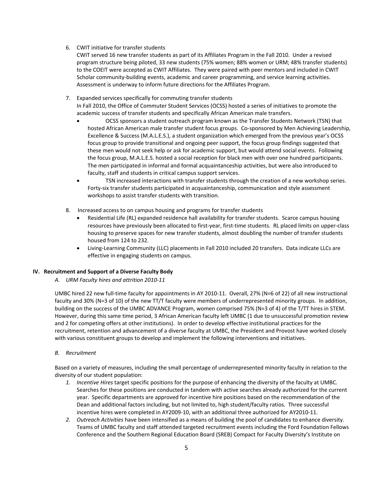- 6. CWIT initiative for transfer students
	- CWIT served 16 new transfer students as part of its Affiliates Program in the Fall 2010. Under a revised program structure being piloted, 33 new students (75% women; 88% women or URM; 48% transfer students) to the COEIT were accepted as CWIT Affiliates. They were paired with peer mentors and included in CWIT Scholar community-building events, academic and career programming, and service learning activities. Assessment is underway to inform future directions for the Affiliates Program.
- 7. Expanded services specifically for commuting transfer students In Fall 2010, the Office of Commuter Student Services (OCSS) hosted a series of initiatives to promote the academic success of transfer students and specifically African American male transfers.
	- OCSS sponsors a student outreach program known as the Transfer Students Network (TSN) that hosted African American male transfer student focus groups. Co‐sponsored by Men Achieving Leadership, Excellence & Success (M.A.L.E.S.), a student organization which emerged from the previous year's OCSS focus group to provide transitional and ongoing peer support, the focus group findings suggested that these men would not seek help or ask for academic support, but would attend social events. Following the focus group, M.A.L.E.S. hosted a social reception for black men with over one hundred participants. The men participated in informal and formal acquaintanceship activities, but were also introduced to faculty, staff and students in critical campus support services.
	- TSN increased interactions with transfer students through the creation of a new workshop series. Forty-six transfer students participated in acquaintanceship, communication and style assessment workshops to assist transfer students with transition.
- 8. Increased access to on campus housing and programs for transfer students
	- Residential Life (RL) expanded residence hall availability for transfer students. Scarce campus housing resources have previously been allocated to first-year, first-time students. RL placed limits on upper-class housing to preserve spaces for new transfer students, almost doubling the number of transfer students housed from 124 to 232.
	- Living‐Learning Community (LLC) placements in Fall 2010 included 20 transfers. Data indicate LLCs are effective in engaging students on campus.

#### **IV. Recruitment and Support of a Diverse Faculty Body**

*A. URM Faculty hires and attrition 2010‐11*

UMBC hired 22 new full‐time faculty for appointments in AY 2010‐11. Overall, 27% (N=6 of 22) of all new instructional faculty and 30% (N=3 of 10) of the new TT/T faculty were members of underrepresented minority groups. In addition, building on the success of the UMBC ADVANCE Program, women comprised 75% (N=3 of 4) of the T/TT hires in STEM. However, during this same time period, 3 African American faculty left UMBC (1 due to unsuccessful promotion review and 2 for competing offers at other institutions). In order to develop effective institutional practices for the recruitment, retention and advancement of a diverse faculty at UMBC, the President and Provost have worked closely with various constituent groups to develop and implement the following interventions and initiatives.

*B. Recruitment*

Based on a variety of measures, including the small percentage of underrepresented minority faculty in relation to the diversity of our student population:

- *1. Incentive Hires* target specific positions for the purpose of enhancing the diversity of the faculty at UMBC. Searches for these positions are conducted in tandem with active searches already authorized for the current year. Specific departments are approved for incentive hire positions based on the recommendation of the Dean and additional factors including, but not limited to, high student/faculty ratios. Three successful incentive hires were completed in AY2009‐10, with an additional three authorized for AY2010‐11.
- *2. Outreach Activities* have been intensified as a means of building the pool of candidates to enhance diversity. Teams of UMBC faculty and staff attended targeted recruitment events including the Ford Foundation Fellows Conference and the Southern Regional Education Board (SREB) Compact for Faculty Diversity's Institute on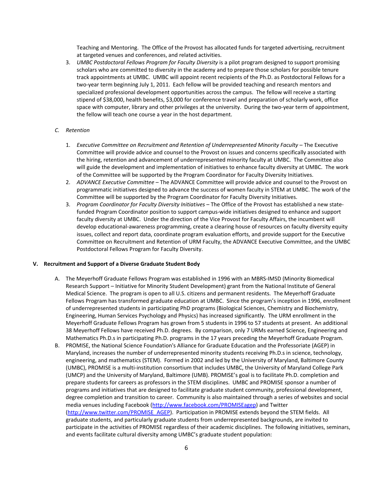Teaching and Mentoring. The Office of the Provost has allocated funds for targeted advertising, recruitment at targeted venues and conferences, and related activities.

3. *UMBC Postdoctoral Fellows Program for Faculty Diversity* is a pilot program designed to support promising scholars who are committed to diversity in the academy and to prepare those scholars for possible tenure track appointments at UMBC. UMBC will appoint recent recipients of the Ph.D. as Postdoctoral Fellows for a two‐year term beginning July 1, 2011. Each fellow will be provided teaching and research mentors and specialized professional development opportunities across the campus. The fellow will receive a starting stipend of \$38,000, health benefits, \$3,000 for conference travel and preparation of scholarly work, office space with computer, library and other privileges at the university. During the two-year term of appointment, the fellow will teach one course a year in the host department.

#### *C. Retention*

- 1. *Executive Committee on Recruitment and Retention of Underrepresented Minority Faculty* The Executive Committee will provide advice and counsel to the Provost on issues and concerns specifically associated with the hiring, retention and advancement of underrepresented minority faculty at UMBC. The Committee also will guide the development and implementation of initiatives to enhance faculty diversity at UMBC. The work of the Committee will be supported by the Program Coordinator for Faculty Diversity Initiatives.
- 2. *ADVANCE Executive Committee* The ADVANCE Committee will provide advice and counsel to the Provost on programmatic initiatives designed to advance the success of women faculty in STEM at UMBC. The work of the Committee will be supported by the Program Coordinator for Faculty Diversity Initiatives.
- 3. *Program Coordinator for Faculty Diversity Initiatives* The Office of the Provost has established a new state‐ funded Program Coordinator position to support campus‐wide initiatives designed to enhance and support faculty diversity at UMBC. Under the direction of the Vice Provost for Faculty Affairs, the incumbent will develop educational‐awareness programming, create a clearing house of resources on faculty diversity equity issues, collect and report data, coordinate program evaluation efforts, and provide support for the Executive Committee on Recruitment and Retention of URM Faculty, the ADVANCE Executive Committee, and the UMBC Postdoctoral Fellows Program for Faculty Diversity.

#### **V. Recruitment and Support of a Diverse Graduate Student Body**

- A. The Meyerhoff Graduate Fellows Program was established in 1996 with an MBRS‐IMSD (Minority Biomedical Research Support – Initiative for Minority Student Development) grant from the National Institute of General Medical Science. The program is open to all U.S. citizens and permanent residents. The Meyerhoff Graduate Fellows Program has transformed graduate education at UMBC. Since the program's inception in 1996, enrollment of underrepresented students in participating PhD programs (Biological Sciences, Chemistry and Biochemistry, Engineering, Human Services Psychology and Physics) has increased significantly. The URM enrollment in the Meyerhoff Graduate Fellows Program has grown from 5 students in 1996 to 57 students at present. An additional 38 Meyerhoff Fellows have received Ph.D. degrees. By comparison, only 7 URMs earned Science, Engineering and Mathematics Ph.D.s in participating Ph.D. programs in the 17 years preceding the Meyerhoff Graduate Program.
- B. PROMISE, the National Science Foundation's Alliance for Graduate Education and the Professoriate (AGEP) in Maryland, increases the number of underrepresented minority students receiving Ph.D.s in science, technology, engineering, and mathematics (STEM). Formed in 2002 and led by the University of Maryland, Baltimore County (UMBC), PROMISE is a multi‐institution consortium that includes UMBC, the University of Maryland College Park (UMCP) and the University of Maryland, Baltimore (UMB). PROMISE's goal is to facilitate Ph.D. completion and prepare students for careers as professors in the STEM disciplines. UMBC and PROMISE sponsor a number of programs and initiatives that are designed to facilitate graduate student community, professional development, degree completion and transition to career. Community is also maintained through a series of websites and social media venues including Facebook (http://www.facebook.com/PROMISEagep) and Twitter (http://www.twitter.com/PROMISE\_AGEP). Participation in PROMISE extends beyond the STEM fields. All graduate students, and particularly graduate students from underrepresented backgrounds, are invited to participate in the activities of PROMISE regardless of their academic disciplines. The following initiatives, seminars, and events facilitate cultural diversity among UMBC's graduate student population: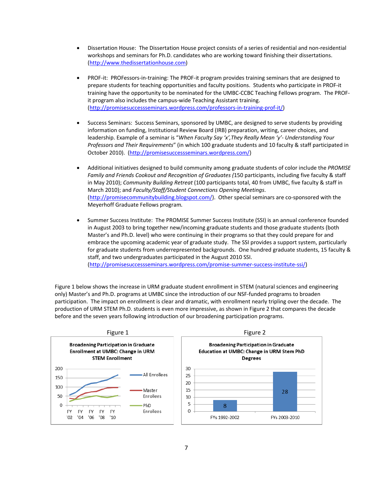- Dissertation House: The Dissertation House project consists of a series of residential and non‐residential workshops and seminars for Ph.D. candidates who are working toward finishing their dissertations. (http://www.thedissertationhouse.com)
- PROF-it: PROFessors-in-training: The PROF-it program provides training seminars that are designed to prepare students for teaching opportunities and faculty positions. Students who participate in PROF‐it training have the opportunity to be nominated for the UMBC‐CCBC Teaching Fellows program. The PROF‐ it program also includes the campus‐wide Teaching Assistant training. (http://promisesuccessseminars.wordpress.com/professors‐in‐training‐prof‐it/)
- Success Seminars: Success Seminars, sponsored by UMBC, are designed to serve students by providing information on funding, Institutional Review Board (IRB) preparation, writing, career choices, and leadership. Example of a seminar is "*When Faculty Say 'x',They Really Mean 'y'‐ Understanding Your Professors and Their Requirements*" (in which 100 graduate students and 10 faculty & staff participated in October 2010). (http://promisesuccessseminars.wordpress.com/)
- Additional initiatives designed to build community among graduate students of color include the *PROMISE Family and Friends Cookout and Recognition of Graduates (*150 participants, including five faculty & staff in May 2010); *Community Building Retreat* (100 participants total, 40 from UMBC, five faculty & staff in March 2010); and *Faculty/Staff/Student Connections Opening Meetings*. (http://promisecommunitybuilding.blogspot.com/). Other special seminars are co‐sponsored with the Meyerhoff Graduate Fellows program*.*
- Summer Success Institute:The PROMISE Summer Success Institute (SSI) is an annual conference founded in August 2003 to bring together new/incoming graduate students and those graduate students (both Master's and Ph.D. level) who were continuing in their programs so that they could prepare for and embrace the upcoming academic year of graduate study. The SSI provides a support system, particularly for graduate students from underrepresented backgrounds. One hundred graduate students, 15 faculty & staff, and two undergraduates participated in the August 2010 SSI. (http://promisesuccessseminars.wordpress.com/promise‐summer‐success‐institute‐ssi/)

Figure 1 below shows the increase in URM graduate student enrollment in STEM (natural sciences and engineering only) Master's and Ph.D. programs at UMBC since the introduction of our NSF‐funded programs to broaden participation. The impact on enrollment is clear and dramatic, with enrollment nearly tripling over the decade. The production of URM STEM Ph.D. students is even more impressive, as shown in Figure 2 that compares the decade before and the seven years following introduction of our broadening participation programs.



7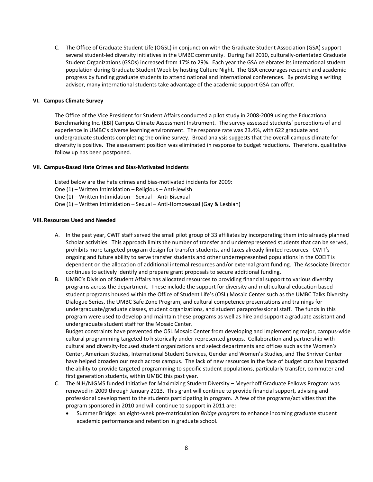C. The Office of Graduate Student Life (OGSL) in conjunction with the Graduate Student Association (GSA) support several student-led diversity initiatives in the UMBC community. During Fall 2010, culturally-orientated Graduate Student Organizations (GSOs) increased from 17% to 29%. Each year the GSA celebrates its international student population during Graduate Student Week by hosting Culture Night. The GSA encourages research and academic progress by funding graduate students to attend national and international conferences. By providing a writing advisor, many international students take advantage of the academic support GSA can offer.

#### **VI. Campus Climate Survey**

The Office of the Vice President for Student Affairs conducted a pilot study in 2008‐2009 using the Educational Benchmarking Inc. (EBI) Campus Climate Assessment Instrument. The survey assessed students' perceptions of and experience in UMBC's diverse learning environment. The response rate was 23.4%, with 622 graduate and undergraduate students completing the online survey. Broad analysis suggests that the overall campus climate for diversity is positive. The assessment position was eliminated in response to budget reductions. Therefore, qualitative follow up has been postponed.

#### **VII. Campus‐Based Hate Crimes and Bias‐Motivated Incidents**

Listed below are the hate crimes and bias‐motivated incidents for 2009:

- One (1) Written Intimidation Religious Anti‐Jewish
- One (1) Written Intimidation Sexual Anti‐Bisexual
- One (1) Written Intimidation Sexual Anti‐Homosexual (Gay & Lesbian)

#### **VIII.Resources Used and Needed**

- A. In the past year, CWIT staff served the small pilot group of 33 affiliates by incorporating them into already planned Scholar activities. This approach limits the number of transfer and underrepresented students that can be served, prohibits more targeted program design for transfer students, and taxes already limited resources. CWIT's ongoing and future ability to serve transfer students and other underrepresented populations in the COEIT is dependent on the allocation of additional internal resources and/or external grant funding. The Associate Director continues to actively identify and prepare grant proposals to secure additional funding.
- B. UMBC's Division of Student Affairs has allocated resources to providing financial support to various diversity programs across the department. These include the support for diversity and multicultural education based student programs housed within the Office of Student Life's (OSL) Mosaic Center such as the UMBC Talks Diversity Dialogue Series, the UMBC Safe Zone Program, and cultural competence presentations and trainings for undergraduate/graduate classes, student organizations, and student paraprofessional staff. The funds in this program were used to develop and maintain these programs as well as hire and support a graduate assistant and undergraduate student staff for the Mosaic Center.

Budget constraints have prevented the OSL Mosaic Center from developing and implementing major, campus‐wide cultural programming targeted to historically under‐represented groups. Collaboration and partnership with cultural and diversity‐focused student organizations and select departments and offices such as the Women's Center, American Studies, International Student Services, Gender and Women's Studies, and The Shriver Center have helped broaden our reach across campus. The lack of new resources in the face of budget cuts has impacted the ability to provide targeted programming to specific student populations, particularly transfer, commuter and first generation students, within UMBC this past year.

- C. The NIH/NIGMS funded Initiative for Maximizing Student Diversity Meyerhoff Graduate Fellows Program was renewed in 2009 through January 2013. This grant will continue to provide financial support, advising and professional development to the students participating in program. A few of the programs/activities that the program sponsored in 2010 and will continue to support in 2011 are:
	- Summer Bridge: an eight‐week pre‐matriculation *Bridge program* to enhance incoming graduate student academic performance and retention in graduate school.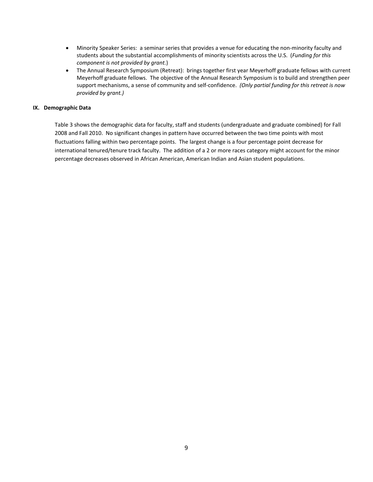- Minority Speaker Series: a seminar series that provides a venue for educating the non-minority faculty and students about the substantial accomplishments of minority scientists across the U.S. (*Funding for this component is not provided by grant.*)
- The Annual Research Symposium (Retreat): brings together first year Meyerhoff graduate fellows with current Meyerhoff graduate fellows. The objective of the Annual Research Symposium is to build and strengthen peer support mechanisms, a sense of community and self‐confidence. *(Only partial funding for this retreat is now provided by grant.)*

#### **IX. Demographic Data**

Table 3 shows the demographic data for faculty, staff and students (undergraduate and graduate combined) for Fall 2008 and Fall 2010. No significant changes in pattern have occurred between the two time points with most fluctuations falling within two percentage points. The largest change is a four percentage point decrease for international tenured/tenure track faculty. The addition of a 2 or more races category might account for the minor percentage decreases observed in African American, American Indian and Asian student populations.